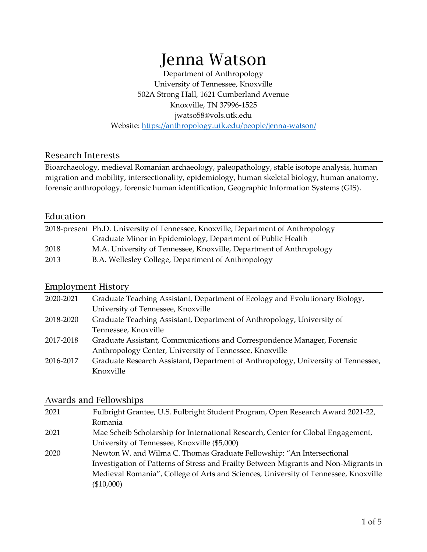# Jenna Watson

Department of Anthropology University of Tennessee, Knoxville 502A Strong Hall, 1621 Cumberland Avenue Knoxville, TN 37996-1525 jwatso58@vols.utk.edu Website:<https://anthropology.utk.edu/people/jenna-watson/>

#### Research Interests

Bioarchaeology, medieval Romanian archaeology, paleopathology, stable isotope analysis, human migration and mobility, intersectionality, epidemiology, human skeletal biology, human anatomy, forensic anthropology, forensic human identification, Geographic Information Systems (GIS).

#### Education

| 2018-present Ph.D. University of Tennessee, Knoxville, Department of Anthropology |                                                                     |
|-----------------------------------------------------------------------------------|---------------------------------------------------------------------|
|                                                                                   | Graduate Minor in Epidemiology, Department of Public Health         |
| 2018                                                                              | M.A. University of Tennessee, Knoxville, Department of Anthropology |
| 2013                                                                              | B.A. Wellesley College, Department of Anthropology                  |

#### Employment History

| 2020-2021 | Graduate Teaching Assistant, Department of Ecology and Evolutionary Biology,      |
|-----------|-----------------------------------------------------------------------------------|
|           | University of Tennessee, Knoxville                                                |
| 2018-2020 | Graduate Teaching Assistant, Department of Anthropology, University of            |
|           | Tennessee, Knoxville                                                              |
| 2017-2018 | Graduate Assistant, Communications and Correspondence Manager, Forensic           |
|           | Anthropology Center, University of Tennessee, Knoxville                           |
| 2016-2017 | Graduate Research Assistant, Department of Anthropology, University of Tennessee, |
|           | Knoxville                                                                         |

#### Awards and Fellowships

| 2021 | Fulbright Grantee, U.S. Fulbright Student Program, Open Research Award 2021-22,      |
|------|--------------------------------------------------------------------------------------|
|      | Romania                                                                              |
| 2021 | Mae Scheib Scholarship for International Research, Center for Global Engagement,     |
|      | University of Tennessee, Knoxville (\$5,000)                                         |
| 2020 | Newton W. and Wilma C. Thomas Graduate Fellowship: "An Intersectional                |
|      | Investigation of Patterns of Stress and Frailty Between Migrants and Non-Migrants in |
|      | Medieval Romania", College of Arts and Sciences, University of Tennessee, Knoxville  |
|      | $(\$10,000)$                                                                         |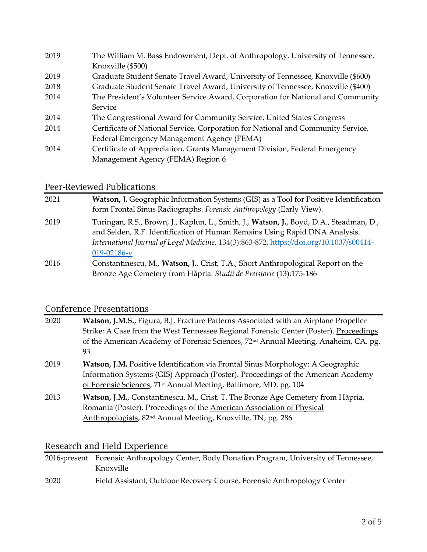| 2019 | The William M. Bass Endowment, Dept. of Anthropology, University of Tennessee,   |
|------|----------------------------------------------------------------------------------|
|      | Knoxville (\$500)                                                                |
| 2019 | Graduate Student Senate Travel Award, University of Tennessee, Knoxville (\$600) |
| 2018 | Graduate Student Senate Travel Award, University of Tennessee, Knoxville (\$400) |
| 2014 | The President's Volunteer Service Award, Corporation for National and Community  |
|      | Service                                                                          |
| 2014 | The Congressional Award for Community Service, United States Congress            |
| 2014 | Certificate of National Service, Corporation for National and Community Service, |
|      | Federal Emergency Management Agency (FEMA)                                       |
| 2014 | Certificate of Appreciation, Grants Management Division, Federal Emergency       |
|      | Management Agency (FEMA) Region 6                                                |

#### Peer-Reviewed Publications

| 2021 | <b>Watson, J. Geographic Information Systems (GIS) as a Tool for Positive Identification</b>                                                                          |
|------|-----------------------------------------------------------------------------------------------------------------------------------------------------------------------|
|      | form Frontal Sinus Radiographs. Forensic Anthropology (Early View).                                                                                                   |
| 2019 | Turingan, R.S., Brown, J., Kaplun, L., Smith, J., Watson, J., Boyd, D.A., Steadman, D.,<br>and Selden, R.F. Identification of Human Remains Using Rapid DNA Analysis. |
|      | International Journal of Legal Medicine. 134(3):863-872. https://doi.org/10.1007/s00414-<br>$019 - 02186 - y$                                                         |
| 2016 | Constantinescu, M., Watson, J., Crist, T.A., Short Anthropological Report on the                                                                                      |
|      | Bronze Age Cemetery from Hăpria. Studii de Preistorie (13):175-186                                                                                                    |

## Conference Presentations

| 2020 | Watson, J.M.S., Figura, B.J. Fracture Patterns Associated with an Airplane Propeller<br>Strike: A Case from the West Tennessee Regional Forensic Center (Poster). Proceedings<br>of the American Academy of Forensic Sciences, 72 <sup>nd</sup> Annual Meeting, Anaheim, CA. pg.<br>93 |
|------|----------------------------------------------------------------------------------------------------------------------------------------------------------------------------------------------------------------------------------------------------------------------------------------|
| 2019 | <b>Watson, J.M.</b> Positive Identification via Frontal Sinus Morphology: A Geographic<br>Information Systems (GIS) Approach (Poster). Proceedings of the American Academy<br>of Forensic Sciences, 71 <sup>st</sup> Annual Meeting, Baltimore, MD. pg. 104                            |
| 2013 | Watson, J.M., Constantinescu, M., Crist, T. The Bronze Age Cemetery from Hăpria,<br>Romania (Poster). Proceedings of the American Association of Physical<br>Anthropologists, 82 <sup>nd</sup> Annual Meeting, Knoxville, TN, pg. 286                                                  |

### Research and Field Experience

|      | 2016-present Forensic Anthropology Center, Body Donation Program, University of Tennessee, |
|------|--------------------------------------------------------------------------------------------|
|      | Knoxville                                                                                  |
| 2020 | Field Assistant, Outdoor Recovery Course, Forensic Anthropology Center                     |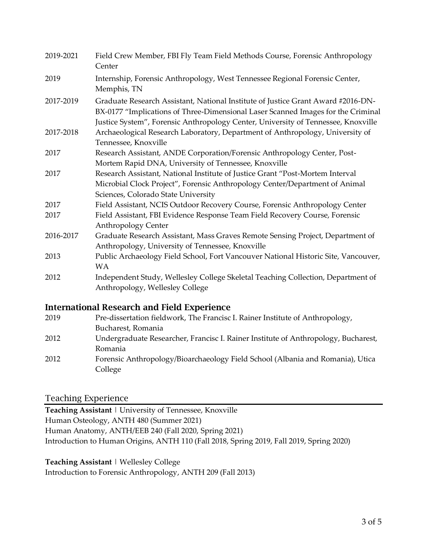| 2019-2021 | Field Crew Member, FBI Fly Team Field Methods Course, Forensic Anthropology<br>Center                                                                                                                                                                     |
|-----------|-----------------------------------------------------------------------------------------------------------------------------------------------------------------------------------------------------------------------------------------------------------|
| 2019      | Internship, Forensic Anthropology, West Tennessee Regional Forensic Center,<br>Memphis, TN                                                                                                                                                                |
| 2017-2019 | Graduate Research Assistant, National Institute of Justice Grant Award #2016-DN-<br>BX-0177 "Implications of Three-Dimensional Laser Scanned Images for the Criminal<br>Justice System", Forensic Anthropology Center, University of Tennessee, Knoxville |
| 2017-2018 | Archaeological Research Laboratory, Department of Anthropology, University of<br>Tennessee, Knoxville                                                                                                                                                     |
| 2017      | Research Assistant, ANDE Corporation/Forensic Anthropology Center, Post-<br>Mortem Rapid DNA, University of Tennessee, Knoxville                                                                                                                          |
| 2017      | Research Assistant, National Institute of Justice Grant "Post-Mortem Interval<br>Microbial Clock Project", Forensic Anthropology Center/Department of Animal<br>Sciences, Colorado State University                                                       |
| 2017      | Field Assistant, NCIS Outdoor Recovery Course, Forensic Anthropology Center                                                                                                                                                                               |
| 2017      | Field Assistant, FBI Evidence Response Team Field Recovery Course, Forensic<br>Anthropology Center                                                                                                                                                        |
| 2016-2017 | Graduate Research Assistant, Mass Graves Remote Sensing Project, Department of<br>Anthropology, University of Tennessee, Knoxville                                                                                                                        |
| 2013      | Public Archaeology Field School, Fort Vancouver National Historic Site, Vancouver,<br><b>WA</b>                                                                                                                                                           |
| 2012      | Independent Study, Wellesley College Skeletal Teaching Collection, Department of<br>Anthropology, Wellesley College                                                                                                                                       |
|           | <b>International Research and Field Experience</b>                                                                                                                                                                                                        |
| 2019      | Pre-dissertation fieldwork, The Francisc I. Rainer Institute of Anthropology,                                                                                                                                                                             |
|           | Bucharest, Romania                                                                                                                                                                                                                                        |
| 2012      | Undergraduate Researcher, Francisc I. Rainer Institute of Anthropology, Bucharest,<br>Romania                                                                                                                                                             |

2012 Forensic Anthropology/Bioarchaeology Field School (Albania and Romania), Utica College

#### Teaching Experience

**Teaching Assistant** | University of Tennessee, Knoxville Human Osteology, ANTH 480 (Summer 2021) Human Anatomy, ANTH/EEB 240 (Fall 2020, Spring 2021) Introduction to Human Origins, ANTH 110 (Fall 2018, Spring 2019, Fall 2019, Spring 2020)

**Teaching Assistant** | Wellesley College

Introduction to Forensic Anthropology, ANTH 209 (Fall 2013)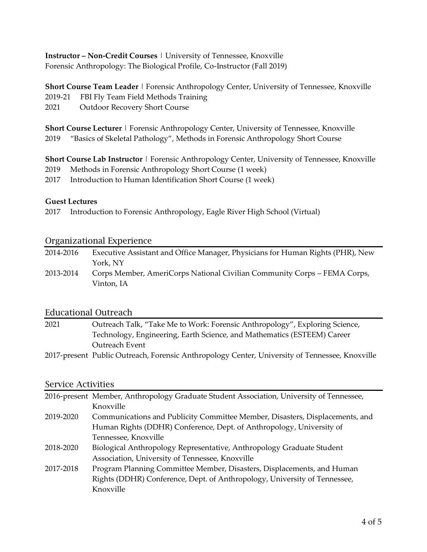**Instructor – Non-Credit Courses** | University of Tennessee, Knoxville Forensic Anthropology: The Biological Profile, Co-Instructor (Fall 2019)

**Short Course Team Leader** | Forensic Anthropology Center, University of Tennessee, Knoxville

- 2019-21 FBI Fly Team Field Methods Training
- 2021 Outdoor Recovery Short Course

**Short Course Lecturer** | Forensic Anthropology Center, University of Tennessee, Knoxville 2019 "Basics of Skeletal Pathology", Methods in Forensic Anthropology Short Course

**Short Course Lab Instructor** | Forensic Anthropology Center, University of Tennessee, Knoxville

- 2019 Methods in Forensic Anthropology Short Course (1 week)
- 2017 Introduction to Human Identification Short Course (1 week)

#### **Guest Lectures**

2017 Introduction to Forensic Anthropology, Eagle River High School (Virtual)

#### Organizational Experience

| 2014-2016 | Executive Assistant and Office Manager, Physicians for Human Rights (PHR), New |
|-----------|--------------------------------------------------------------------------------|
|           | York, NY                                                                       |
| 2013-2014 | Corps Member, AmeriCorps National Civilian Community Corps – FEMA Corps,       |
|           | Vinton. IA                                                                     |

#### Educational Outreach

| 2021 | Outreach Talk, "Take Me to Work: Forensic Anthropology", Exploring Science,                    |
|------|------------------------------------------------------------------------------------------------|
|      | Technology, Engineering, Earth Science, and Mathematics (ESTEEM) Career                        |
|      | Outreach Event                                                                                 |
|      | 2017-present Public Outreach, Forensic Anthropology Center, University of Tennessee, Knoxville |

#### Service Activities

| 2016-present Member, Anthropology Graduate Student Association, University of Tennessee, |                                                                              |
|------------------------------------------------------------------------------------------|------------------------------------------------------------------------------|
|                                                                                          | Knoxville                                                                    |
| 2019-2020                                                                                | Communications and Publicity Committee Member, Disasters, Displacements, and |
|                                                                                          | Human Rights (DDHR) Conference, Dept. of Anthropology, University of         |
|                                                                                          | Tennessee, Knoxville                                                         |
| 2018-2020                                                                                | Biological Anthropology Representative, Anthropology Graduate Student        |
|                                                                                          | Association, University of Tennessee, Knoxville                              |
| 2017-2018                                                                                | Program Planning Committee Member, Disasters, Displacements, and Human       |
|                                                                                          | Rights (DDHR) Conference, Dept. of Anthropology, University of Tennessee,    |
|                                                                                          | Knoxville                                                                    |